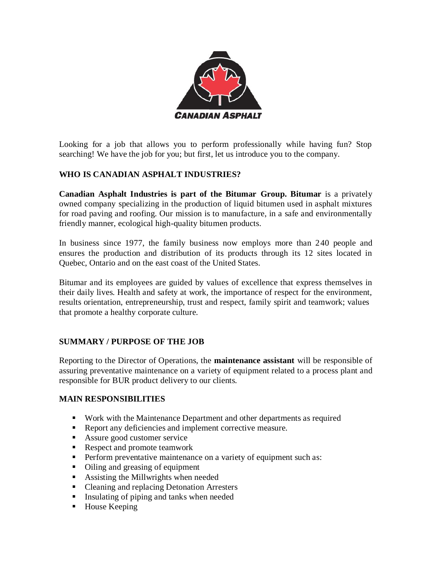

Looking for a job that allows you to perform professionally while having fun? Stop searching! We have the job for you; but first, let us introduce you to the company.

## **WHO IS CANADIAN ASPHALT INDUSTRIES?**

**Canadian Asphalt Industries is part of the Bitumar Group. Bitumar** is a privately owned company specializing in the production of liquid bitumen used in asphalt mixtures for road paving and roofing. Our mission is to manufacture, in a safe and environmentally friendly manner, ecological high-quality bitumen products.

In business since 1977, the family business now employs more than 240 people and ensures the production and distribution of its products through its 12 sites located in Quebec, Ontario and on the east coast of the United States.

Bitumar and its employees are guided by values of excellence that express themselves in their daily lives. Health and safety at work, the importance of respect for the environment, results orientation, entrepreneurship, trust and respect, family spirit and teamwork; values that promote a healthy corporate culture.

### **SUMMARY / PURPOSE OF THE JOB**

Reporting to the Director of Operations, the **maintenance assistant** will be responsible of assuring preventative maintenance on a variety of equipment related to a process plant and responsible for BUR product delivery to our clients.

### **MAIN RESPONSIBILITIES**

- Work with the Maintenance Department and other departments as required
- Report any deficiencies and implement corrective measure.
- Assure good customer service
- Respect and promote teamwork
- **•** Perform preventative maintenance on a variety of equipment such as:
- Oiling and greasing of equipment
- Assisting the Millwrights when needed
- Cleaning and replacing Detonation Arresters
- **Exercise Insulating of piping and tanks when needed**
- House Keeping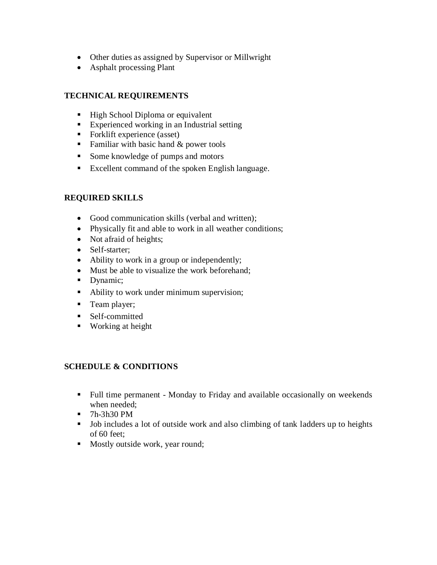- Other duties as assigned by Supervisor or Millwright
- Asphalt processing Plant

## **TECHNICAL REQUIREMENTS**

- High School Diploma or equivalent
- Experienced working in an Industrial setting
- Forklift experience (asset)
- **•** Familiar with basic hand  $&$  power tools
- Some knowledge of pumps and motors
- Excellent command of the spoken English language.

## **REQUIRED SKILLS**

- Good communication skills (verbal and written);
- Physically fit and able to work in all weather conditions;
- Not afraid of heights;
- Self-starter;
- Ability to work in a group or independently;
- Must be able to visualize the work beforehand;
- Dynamic;
- Ability to work under minimum supervision;
- Team player;
- Self-committed
- Working at height

### **SCHEDULE & CONDITIONS**

- Full time permanent Monday to Friday and available occasionally on weekends when needed;
- 7h-3h30 PM
- Job includes a lot of outside work and also climbing of tank ladders up to heights of 60 feet;
- Mostly outside work, year round;